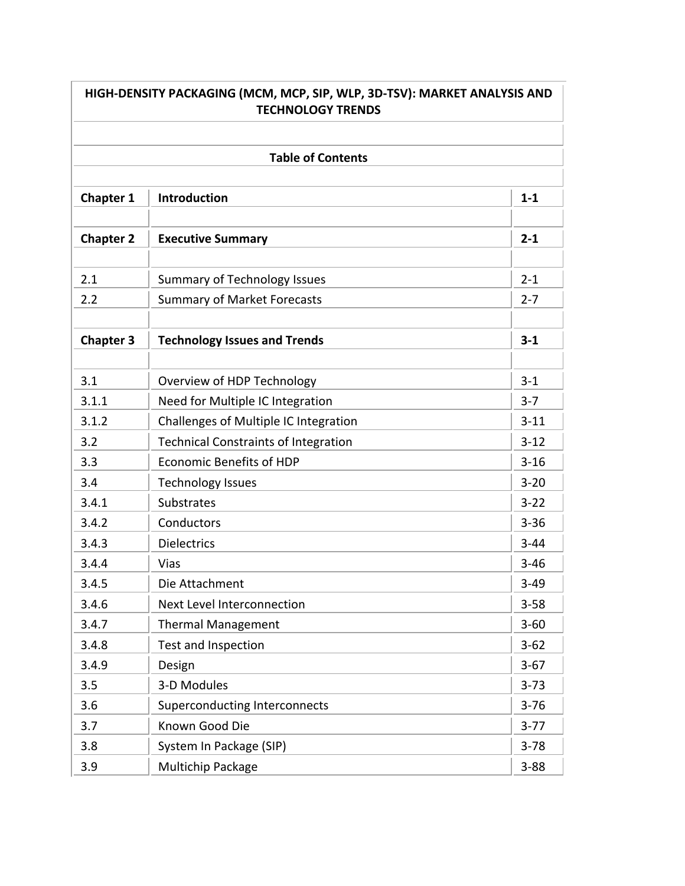| HIGH-DENSITY PACKAGING (MCM, MCP, SIP, WLP, 3D-TSV): MARKET ANALYSIS AND<br><b>TECHNOLOGY TRENDS</b> |                                             |          |  |  |  |
|------------------------------------------------------------------------------------------------------|---------------------------------------------|----------|--|--|--|
|                                                                                                      |                                             |          |  |  |  |
|                                                                                                      | <b>Table of Contents</b>                    |          |  |  |  |
| <b>Chapter 1</b>                                                                                     | Introduction                                | $1 - 1$  |  |  |  |
|                                                                                                      |                                             |          |  |  |  |
| <b>Chapter 2</b>                                                                                     | <b>Executive Summary</b>                    | $2 - 1$  |  |  |  |
|                                                                                                      |                                             |          |  |  |  |
| 2.1                                                                                                  | <b>Summary of Technology Issues</b>         | $2 - 1$  |  |  |  |
| 2.2                                                                                                  | <b>Summary of Market Forecasts</b>          | $2 - 7$  |  |  |  |
| <b>Chapter 3</b>                                                                                     | <b>Technology Issues and Trends</b>         | $3 - 1$  |  |  |  |
|                                                                                                      |                                             |          |  |  |  |
| 3.1                                                                                                  | Overview of HDP Technology                  | $3-1$    |  |  |  |
| 3.1.1                                                                                                | Need for Multiple IC Integration            | $3 - 7$  |  |  |  |
| 3.1.2                                                                                                | Challenges of Multiple IC Integration       | $3 - 11$ |  |  |  |
| 3.2                                                                                                  | <b>Technical Constraints of Integration</b> | $3 - 12$ |  |  |  |
| 3.3                                                                                                  | <b>Economic Benefits of HDP</b>             | $3 - 16$ |  |  |  |
| 3.4                                                                                                  | <b>Technology Issues</b>                    | $3 - 20$ |  |  |  |
| 3.4.1                                                                                                | Substrates                                  | $3 - 22$ |  |  |  |
| 3.4.2                                                                                                | Conductors                                  | $3 - 36$ |  |  |  |
| 3.4.3                                                                                                | <b>Dielectrics</b>                          | $3 - 44$ |  |  |  |
| 3.4.4                                                                                                | Vias                                        | $3 - 46$ |  |  |  |
| 3.4.5                                                                                                | Die Attachment                              | $3 - 49$ |  |  |  |
| 3.4.6                                                                                                | <b>Next Level Interconnection</b>           | $3 - 58$ |  |  |  |
| 3.4.7                                                                                                | <b>Thermal Management</b>                   | $3 - 60$ |  |  |  |
| 3.4.8                                                                                                | Test and Inspection                         | $3 - 62$ |  |  |  |
| 3.4.9                                                                                                | Design                                      | $3-67$   |  |  |  |
| 3.5                                                                                                  | 3-D Modules                                 | $3 - 73$ |  |  |  |
| 3.6                                                                                                  | <b>Superconducting Interconnects</b>        | $3 - 76$ |  |  |  |
| 3.7                                                                                                  | Known Good Die                              | $3-77$   |  |  |  |
| 3.8                                                                                                  | System In Package (SIP)                     | $3 - 78$ |  |  |  |
| 3.9                                                                                                  | Multichip Package                           | $3 - 88$ |  |  |  |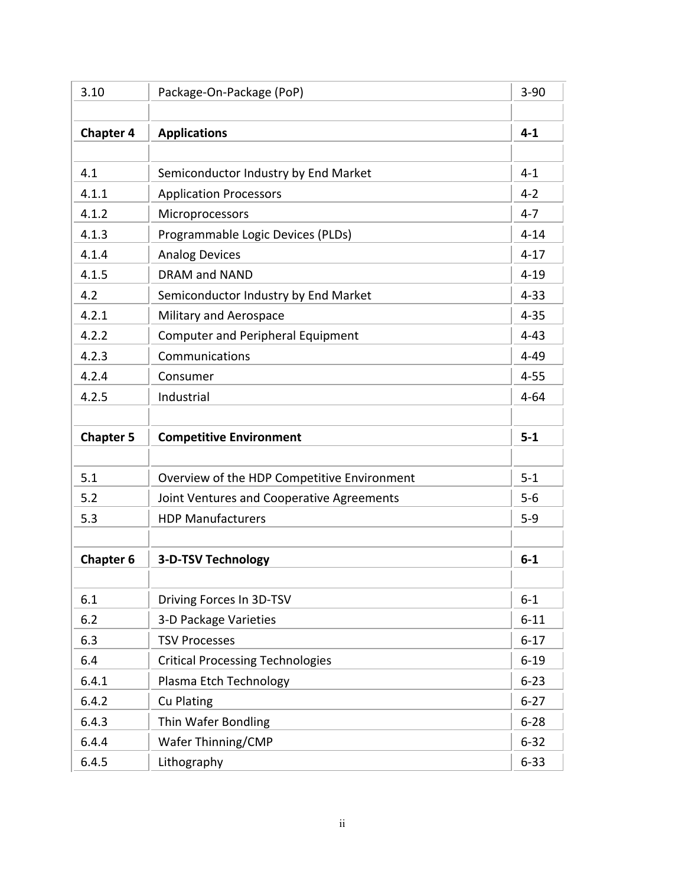| 3.10             | Package-On-Package (PoP)                    | $3 - 90$ |
|------------------|---------------------------------------------|----------|
|                  |                                             |          |
| <b>Chapter 4</b> | <b>Applications</b>                         | $4 - 1$  |
|                  |                                             |          |
| 4.1              | Semiconductor Industry by End Market        | $4 - 1$  |
| 4.1.1            | <b>Application Processors</b>               | $4 - 2$  |
| 4.1.2            | Microprocessors                             | $4 - 7$  |
| 4.1.3            | Programmable Logic Devices (PLDs)           | $4 - 14$ |
| 4.1.4            | <b>Analog Devices</b>                       | $4 - 17$ |
| 4.1.5            | <b>DRAM and NAND</b>                        | $4 - 19$ |
| 4.2              | Semiconductor Industry by End Market        | $4 - 33$ |
| 4.2.1            | Military and Aerospace                      | $4 - 35$ |
| 4.2.2            | <b>Computer and Peripheral Equipment</b>    | $4 - 43$ |
| 4.2.3            | Communications                              | $4 - 49$ |
| 4.2.4            | Consumer                                    | $4 - 55$ |
| 4.2.5            | Industrial                                  | $4 - 64$ |
|                  |                                             |          |
|                  |                                             |          |
| <b>Chapter 5</b> | <b>Competitive Environment</b>              | $5-1$    |
|                  |                                             |          |
| 5.1              | Overview of the HDP Competitive Environment | $5 - 1$  |
| 5.2              | Joint Ventures and Cooperative Agreements   | $5-6$    |
| 5.3              | <b>HDP Manufacturers</b>                    | $5-9$    |
|                  |                                             |          |
| <b>Chapter 6</b> | <b>3-D-TSV Technology</b>                   | $6-1$    |
|                  |                                             |          |
| 6.1              | Driving Forces In 3D-TSV                    | $6 - 1$  |
| 6.2              | 3-D Package Varieties                       | $6 - 11$ |
| 6.3              | <b>TSV Processes</b>                        | $6 - 17$ |
| 6.4              | <b>Critical Processing Technologies</b>     | $6 - 19$ |
| 6.4.1            | Plasma Etch Technology                      | $6 - 23$ |
| 6.4.2            | <b>Cu Plating</b>                           | $6 - 27$ |
| 6.4.3            | Thin Wafer Bondling                         | $6 - 28$ |
| 6.4.4            | Wafer Thinning/CMP                          | $6 - 32$ |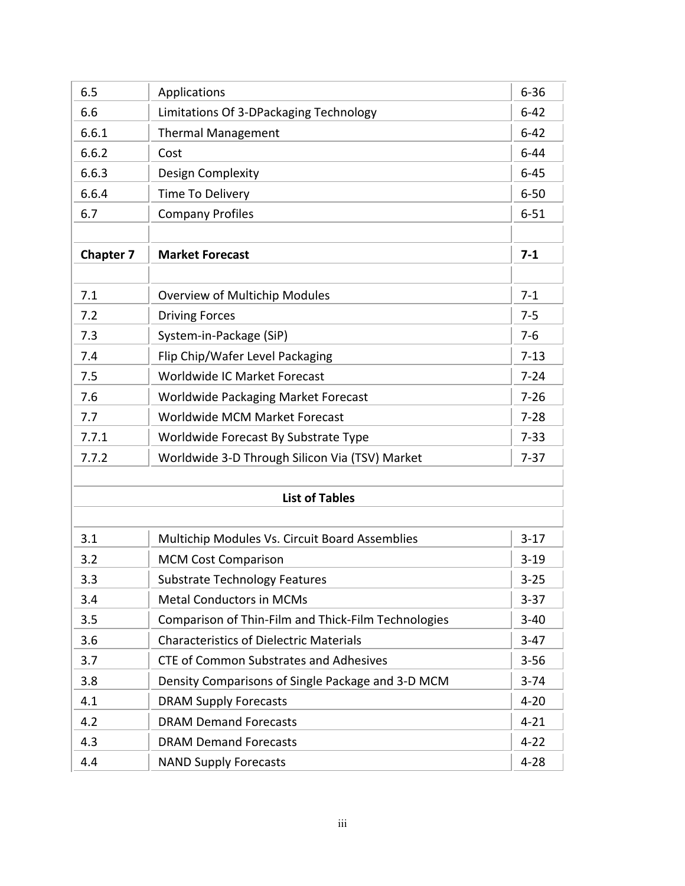| 6.5              | Applications                                        | $6 - 36$ |
|------------------|-----------------------------------------------------|----------|
| 6.6              | Limitations Of 3-DPackaging Technology              | $6 - 42$ |
| 6.6.1            | <b>Thermal Management</b>                           | $6 - 42$ |
| 6.6.2            | Cost                                                | $6 - 44$ |
| 6.6.3            | Design Complexity                                   | $6 - 45$ |
| 6.6.4            | Time To Delivery                                    | $6 - 50$ |
| 6.7              | <b>Company Profiles</b>                             | $6 - 51$ |
|                  |                                                     |          |
| <b>Chapter 7</b> | <b>Market Forecast</b>                              | $7 - 1$  |
|                  |                                                     |          |
| 7.1              | <b>Overview of Multichip Modules</b>                | $7 - 1$  |
| 7.2              | <b>Driving Forces</b>                               | $7 - 5$  |
| 7.3              | System-in-Package (SiP)                             | $7 - 6$  |
| 7.4              | Flip Chip/Wafer Level Packaging                     | $7 - 13$ |
| 7.5              | Worldwide IC Market Forecast                        | $7 - 24$ |
| 7.6              | Worldwide Packaging Market Forecast                 | $7 - 26$ |
| 7.7              | Worldwide MCM Market Forecast                       | $7 - 28$ |
| 7.7.1            | Worldwide Forecast By Substrate Type                | $7 - 33$ |
| 7.7.2            | Worldwide 3-D Through Silicon Via (TSV) Market      | $7 - 37$ |
|                  |                                                     |          |
|                  | <b>List of Tables</b>                               |          |
|                  |                                                     |          |
| 3.1              | Multichip Modules Vs. Circuit Board Assemblies      | $3-17$   |
| 3.2              | <b>MCM Cost Comparison</b>                          | $3 - 19$ |
| 3.3              | <b>Substrate Technology Features</b>                | $3 - 25$ |
| 3.4              | <b>Metal Conductors in MCMs</b>                     | $3 - 37$ |
| 3.5              | Comparison of Thin-Film and Thick-Film Technologies | $3 - 40$ |
| 3.6              | <b>Characteristics of Dielectric Materials</b>      | $3-47$   |
| 3.7              | <b>CTE of Common Substrates and Adhesives</b>       | $3 - 56$ |
| 3.8              | Density Comparisons of Single Package and 3-D MCM   | $3 - 74$ |
| 4.1              | <b>DRAM Supply Forecasts</b>                        | $4 - 20$ |
| 4.2              | <b>DRAM Demand Forecasts</b>                        | $4 - 21$ |
| 4.3              | <b>DRAM Demand Forecasts</b>                        | $4 - 22$ |
| 4.4              | <b>NAND Supply Forecasts</b>                        | $4 - 28$ |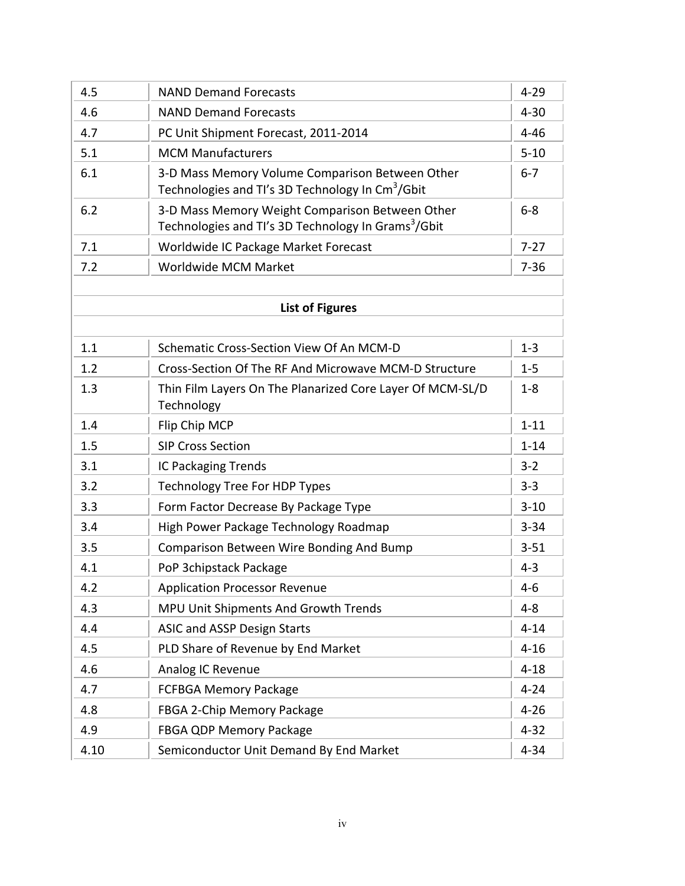| 4.5  | <b>NAND Demand Forecasts</b>                                                                                       | $4 - 29$<br>$4 - 30$ |
|------|--------------------------------------------------------------------------------------------------------------------|----------------------|
| 4.6  | <b>NAND Demand Forecasts</b>                                                                                       |                      |
| 4.7  | PC Unit Shipment Forecast, 2011-2014                                                                               |                      |
| 5.1  | <b>MCM Manufacturers</b>                                                                                           | $5 - 10$             |
| 6.1  | 3-D Mass Memory Volume Comparison Between Other<br>Technologies and TI's 3D Technology In Cm <sup>3</sup> /Gbit    |                      |
| 6.2  | 3-D Mass Memory Weight Comparison Between Other<br>Technologies and TI's 3D Technology In Grams <sup>3</sup> /Gbit | $6-8$                |
| 7.1  | Worldwide IC Package Market Forecast                                                                               | $7 - 27$             |
| 7.2  | Worldwide MCM Market                                                                                               | $7 - 36$             |
|      |                                                                                                                    |                      |
|      | <b>List of Figures</b>                                                                                             |                      |
|      |                                                                                                                    |                      |
| 1.1  | Schematic Cross-Section View Of An MCM-D                                                                           | $1 - 3$              |
| 1.2  | Cross-Section Of The RF And Microwave MCM-D Structure                                                              | $1 - 5$              |
| 1.3  | Thin Film Layers On The Planarized Core Layer Of MCM-SL/D<br>Technology                                            | $1 - 8$              |
| 1.4  | Flip Chip MCP                                                                                                      | $1 - 11$             |
| 1.5  | <b>SIP Cross Section</b>                                                                                           | $1 - 14$             |
| 3.1  | <b>IC Packaging Trends</b>                                                                                         | $3 - 2$              |
| 3.2  | <b>Technology Tree For HDP Types</b>                                                                               | $3 - 3$              |
| 3.3  | Form Factor Decrease By Package Type                                                                               | $3 - 10$             |
| 3.4  | High Power Package Technology Roadmap                                                                              | $3 - 34$             |
| 3.5  | Comparison Between Wire Bonding And Bump                                                                           | $3 - 51$             |
| 4.1  | PoP 3chipstack Package                                                                                             | $4 - 3$              |
| 4.2  | <b>Application Processor Revenue</b>                                                                               | $4 - 6$              |
| 4.3  | MPU Unit Shipments And Growth Trends                                                                               | $4 - 8$              |
| 4.4  | <b>ASIC and ASSP Design Starts</b>                                                                                 | $4 - 14$             |
| 4.5  | PLD Share of Revenue by End Market                                                                                 | $4 - 16$             |
| 4.6  | Analog IC Revenue                                                                                                  | $4 - 18$             |
| 4.7  | <b>FCFBGA Memory Package</b>                                                                                       | $4 - 24$             |
| 4.8  | FBGA 2-Chip Memory Package                                                                                         | $4 - 26$             |
| 4.9  | FBGA QDP Memory Package                                                                                            | $4 - 32$             |
| 4.10 | Semiconductor Unit Demand By End Market                                                                            | $4 - 34$             |